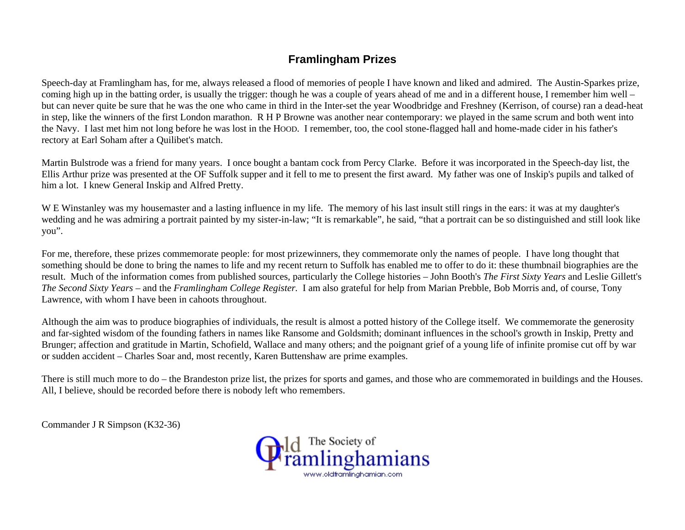# **Framlingham Prizes**

Speech-day at Framlingham has, for me, always released a flood of memories of people I have known and liked and admired. The Austin-Sparkes prize, coming high up in the batting order, is usually the trigger: though he was a couple of years ahead of me and in a different house, I remember him well – but can never quite be sure that he was the one who came in third in the Inter-set the year Woodbridge and Freshney (Kerrison, of course) ran a dead-heat in step, like the winners of the first London marathon. R H P Browne was another near contemporary: we played in the same scrum and both went into the Navy. I last met him not long before he was lost in the HOOD. I remember, too, the cool stone-flagged hall and home-made cider in his father's rectory at Earl Soham after a Quilibet's match.

Martin Bulstrode was a friend for many years. I once bought a bantam cock from Percy Clarke. Before it was incorporated in the Speech-day list, the Ellis Arthur prize was presented at the OF Suffolk supper and it fell to me to present the first award. My father was one of Inskip's pupils and talked of him a lot. I knew General Inskip and Alfred Pretty.

W E Winstanley was my housemaster and a lasting influence in my life. The memory of his last insult still rings in the ears: it was at my daughter's wedding and he was admiring a portrait painted by my sister-in-law; "It is remarkable", he said, "that a portrait can be so distinguished and still look like you".

For me, therefore, these prizes commemorate people: for most prizewinners, they commemorate only the names of people. I have long thought that something should be done to bring the names to life and my recent return to Suffolk has enabled me to offer to do it: these thumbnail biographies are the result. Much of the information comes from published sources, particularly the College histories – John Booth's *The First Sixty Years* and Leslie Gillett's *The Second Sixty Years –* and the *Framlingham College Register.* I am also grateful for help from Marian Prebble, Bob Morris and, of course, Tony Lawrence, with whom I have been in cahoots throughout.

Although the aim was to produce biographies of individuals, the result is almost a potted history of the College itself. We commemorate the generosity and far-sighted wisdom of the founding fathers in names like Ransome and Goldsmith; dominant influences in the school's growth in Inskip, Pretty and Brunger; affection and gratitude in Martin, Schofield, Wallace and many others; and the poignant grief of a young life of infinite promise cut off by war or sudden accident – Charles Soar and, most recently, Karen Buttenshaw are prime examples.

There is still much more to do – the Brandeston prize list, the prizes for sports and games, and those who are commemorated in buildings and the Houses. All, I believe, should be recorded before there is nobody left who remembers.

Commander J R Simpson (K32-36)

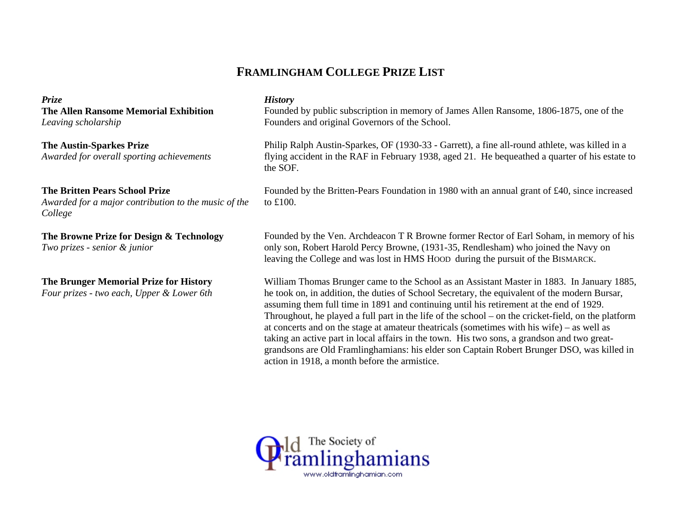# **FRAMLINGHAM COLLEGE PRIZE LIST**

*Prize History*  **The Allen Ransome Memorial Exhibition** *Leaving scholarship*

**The Austin-Sparkes Prize** *Awarded for overall sporting achievements*

# **The Britten Pears School Prize**

*Awarded for a major contribution to the music of the College* 

**The Browne Prize for Design & Technology**  *Two prizes - senior & junior*

**The Brunger Memorial Prize for History** 

*Four prizes - two each, Upper & Lower 6th*

Founded by public subscription in memory of James Allen Ransome, 1806-1875, one of the Founders and original Governors of the School.

Philip Ralph Austin-Sparkes, OF (1930-33 - Garrett), a fine all-round athlete, was killed in a flying accident in the RAF in February 1938, aged 21. He bequeathed a quarter of his estate to the SOF.

Founded by the Britten-Pears Foundation in 1980 with an annual grant of £40, since increased to £100.

Founded by the Ven. Archdeacon T R Browne former Rector of Earl Soham, in memory of his only son, Robert Harold Percy Browne, (1931-35, Rendlesham) who joined the Navy on leaving the College and was lost in HMS HOOD during the pursuit of the BISMARCK.

William Thomas Brunger came to the School as an Assistant Master in 1883. In January 1885, he took on, in addition, the duties of School Secretary, the equivalent of the modern Bursar, assuming them full time in 1891 and continuing until his retirement at the end of 1929. Throughout, he played a full part in the life of the school – on the cricket-field, on the platform at concerts and on the stage at amateur theatricals (sometimes with his wife) – as well as taking an active part in local affairs in the town. His two sons, a grandson and two greatgrandsons are Old Framlinghamians: his elder son Captain Robert Brunger DSO, was killed in action in 1918, a month before the armistice.

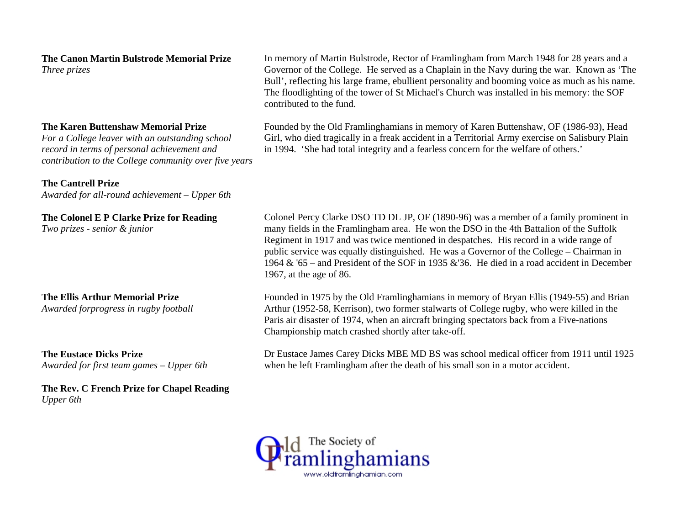**The Canon Martin Bulstrode Memorial Prize** *Three prizes*

### **The Karen Buttenshaw Memorial Prize**

*For a College leaver with an outstanding school record in terms of personal achievement and contribution to the College community over five years*

#### **The Cantrell Prize**

*Awarded for all-round achievement – Upper 6th* 

#### **The Colonel E P Clarke Prize for Reading**

*Two prizes - senior & junior*

### **The Ellis Arthur Memorial Prize**

*Awarded forprogress in rugby football*

**The Eustace Dicks Prize** *Awarded for first team games – Upper 6th*

**The Rev. C French Prize for Chapel Reading**  *Upper 6th* 

In memory of Martin Bulstrode, Rector of Framlingham from March 1948 for 28 years and a Governor of the College. He served as a Chaplain in the Navy during the war. Known as 'The Bull', reflecting his large frame, ebullient personality and booming voice as much as his name. The floodlighting of the tower of St Michael's Church was installed in his memory: the SOF contributed to the fund.

Founded by the Old Framlinghamians in memory of Karen Buttenshaw, OF (1986-93), Head Girl, who died tragically in a freak accident in a Territorial Army exercise on Salisbury Plain in 1994. 'She had total integrity and a fearless concern for the welfare of others.'

Colonel Percy Clarke DSO TD DL JP, OF (1890-96) was a member of a family prominent in many fields in the Framlingham area. He won the DSO in the 4th Battalion of the Suffolk Regiment in 1917 and was twice mentioned in despatches. His record in a wide range of public service was equally distinguished. He was a Governor of the College – Chairman in 1964 & '65 – and President of the SOF in 1935 &'36. He died in a road accident in December 1967, at the age of 86.

Founded in 1975 by the Old Framlinghamians in memory of Bryan Ellis (1949-55) and Brian Arthur (1952-58, Kerrison), two former stalwarts of College rugby, who were killed in the Paris air disaster of 1974, when an aircraft bringing spectators back from a Five-nations Championship match crashed shortly after take-off.

Dr Eustace James Carey Dicks MBE MD BS was school medical officer from 1911 until 1925 when he left Framlingham after the death of his small son in a motor accident.

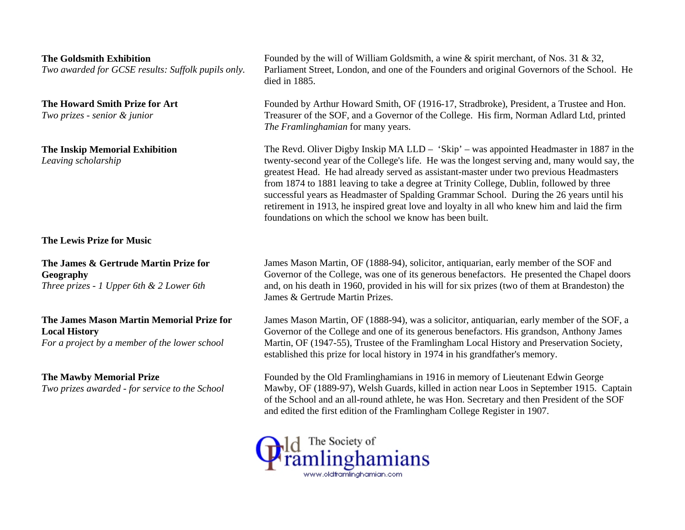|                                                                                                                    | died in 1885.                                                                                                                                                                                                                                                                                                                                                                                                                                                                                                                                                                                                                          |
|--------------------------------------------------------------------------------------------------------------------|----------------------------------------------------------------------------------------------------------------------------------------------------------------------------------------------------------------------------------------------------------------------------------------------------------------------------------------------------------------------------------------------------------------------------------------------------------------------------------------------------------------------------------------------------------------------------------------------------------------------------------------|
| The Howard Smith Prize for Art<br>Two prizes - senior & junior                                                     | Founded by Arthur Howard Smith, OF (1916-17, Stradbroke), President, a Trustee and Hon.<br>Treasurer of the SOF, and a Governor of the College. His firm, Norman Adlard Ltd, printed<br>The Framlinghamian for many years.                                                                                                                                                                                                                                                                                                                                                                                                             |
| <b>The Inskip Memorial Exhibition</b><br>Leaving scholarship                                                       | The Revd. Oliver Digby Inskip MA LLD – 'Skip' – was appointed Headmaster in 1887 in the<br>twenty-second year of the College's life. He was the longest serving and, many would say, the<br>greatest Head. He had already served as assistant-master under two previous Headmasters<br>from 1874 to 1881 leaving to take a degree at Trinity College, Dublin, followed by three<br>successful years as Headmaster of Spalding Grammar School. During the 26 years until his<br>retirement in 1913, he inspired great love and loyalty in all who knew him and laid the firm<br>foundations on which the school we know has been built. |
| The Lewis Prize for Music                                                                                          |                                                                                                                                                                                                                                                                                                                                                                                                                                                                                                                                                                                                                                        |
| The James & Gertrude Martin Prize for<br>Geography<br>Three prizes - $1$ Upper 6th & $2$ Lower 6th                 | James Mason Martin, OF (1888-94), solicitor, antiquarian, early member of the SOF and<br>Governor of the College, was one of its generous benefactors. He presented the Chapel doors<br>and, on his death in 1960, provided in his will for six prizes (two of them at Brandeston) the<br>James & Gertrude Martin Prizes.                                                                                                                                                                                                                                                                                                              |
| The James Mason Martin Memorial Prize for<br><b>Local History</b><br>For a project by a member of the lower school | James Mason Martin, OF (1888-94), was a solicitor, antiquarian, early member of the SOF, a<br>Governor of the College and one of its generous benefactors. His grandson, Anthony James<br>Martin, OF (1947-55), Trustee of the Framlingham Local History and Preservation Society,                                                                                                                                                                                                                                                                                                                                                     |

**The Goldsmith Exhibition** 

**The Mawby Memorial Prize** 

*Two prizes awarded - for service to the School*

*Two awarded for GCSE results: Suffolk pupils only.*

## Founded by the Old Framlinghamians in 1916 in memory of Lieutenant Edwin George Mawby, OF (1889-97), Welsh Guards, killed in action near Loos in September 1915. Captain of the School and an all-round athlete, he was Hon. Secretary and then President of the SOF and edited the first edition of the Framlingham College Register in 1907.

established this prize for local history in 1974 in his grandfather's memory.

Founded by the will of William Goldsmith, a wine & spirit merchant, of Nos. 31 & 32,

Parliament Street, London, and one of the Founders and original Governors of the School. He

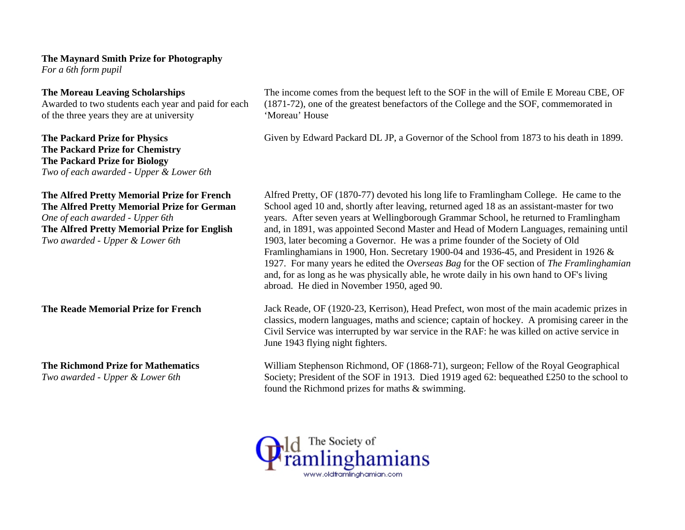### **The Maynard Smith Prize for Photography**

*For a 6th form pupil* 

## **The Moreau Leaving Scholarships**

Awarded to two students each year and paid for each of the three years they are at university

# **The Packard Prize for Physics The Packard Prize for Chemistry The Packard Prize for Biology**

*Two of each awarded - Upper & Lower 6th* 

### **The Alfred Pretty Memorial Prize for French The Alfred Pretty Memorial Prize for German**

*One of each awarded - Upper 6th* **The Alfred Pretty Memorial Prize for English**  *Two awarded - Upper & Lower 6th*

**The Richmond Prize for Mathematics** 

*Two awarded - Upper & Lower 6th*

The income comes from the bequest left to the SOF in the will of Emile E Moreau CBE, OF (1871-72), one of the greatest benefactors of the College and the SOF, commemorated in 'Moreau' House

Given by Edward Packard DL JP, a Governor of the School from 1873 to his death in 1899.

Alfred Pretty, OF (1870-77) devoted his long life to Framlingham College. He came to the School aged 10 and, shortly after leaving, returned aged 18 as an assistant-master for two years. After seven years at Wellingborough Grammar School, he returned to Framlingham and, in 1891, was appointed Second Master and Head of Modern Languages, remaining until 1903, later becoming a Governor. He was a prime founder of the Society of Old Framlinghamians in 1900, Hon. Secretary 1900-04 and 1936-45, and President in 1926 & 1927. For many years he edited the *Overseas Bag* for the OF section of *The Framlinghamian* and, for as long as he was physically able, he wrote daily in his own hand to OF's living abroad. He died in November 1950, aged 90.

**The Reade Memorial Prize for French** Jack Reade, OF (1920-23, Kerrison), Head Prefect, won most of the main academic prizes in classics, modern languages, maths and science; captain of hockey. A promising career in the Civil Service was interrupted by war service in the RAF: he was killed on active service in June 1943 flying night fighters.

> William Stephenson Richmond, OF (1868-71), surgeon; Fellow of the Royal Geographical Society; President of the SOF in 1913. Died 1919 aged 62: bequeathed £250 to the school to found the Richmond prizes for maths & swimming.